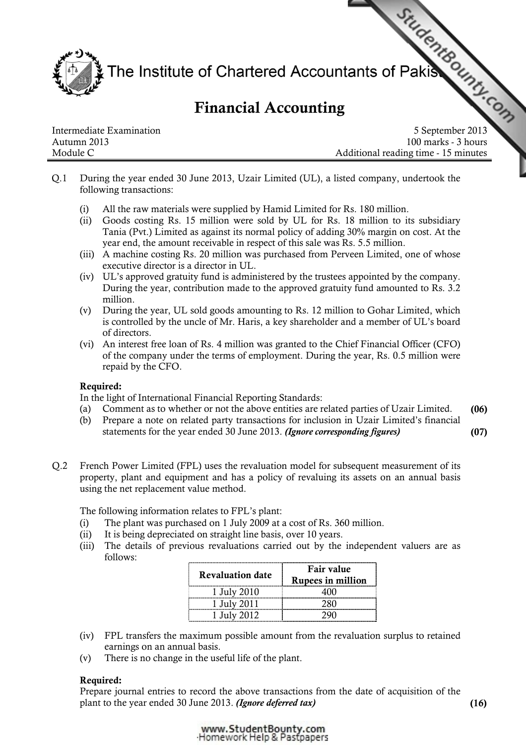Intermediate Examination<br>
Financial Accounting<br>
September 2013 The Institute of Chartered Accountants of Pakis

# Financial Accounting

Autumn 2013 100 marks - 3 hours Module C **Module C** Additional reading time - 15 minutes

- Q.1 During the year ended 30 June 2013, Uzair Limited (UL), a listed company, undertook the following transactions:
	- (i) All the raw materials were supplied by Hamid Limited for Rs. 180 million.
	- (ii) Goods costing Rs. 15 million were sold by UL for Rs. 18 million to its subsidiary Tania (Pvt.) Limited as against its normal policy of adding 30% margin on cost. At the year end, the amount receivable in respect of this sale was Rs. 5.5 million.
	- (iii) A machine costing Rs. 20 million was purchased from Perveen Limited, one of whose executive director is a director in UL.
	- (iv) UL's approved gratuity fund is administered by the trustees appointed by the company. During the year, contribution made to the approved gratuity fund amounted to Rs. 3.2 million.
	- (v) During the year, UL sold goods amounting to Rs. 12 million to Gohar Limited, which is controlled by the uncle of Mr. Haris, a key shareholder and a member of UL's board of directors.
	- (vi) An interest free loan of Rs. 4 million was granted to the Chief Financial Officer (CFO) of the company under the terms of employment. During the year, Rs. 0.5 million were repaid by the CFO.

# Required:

In the light of International Financial Reporting Standards:

- (a) Comment as to whether or not the above entities are related parties of Uzair Limited. (06)
- (b) Prepare a note on related party transactions for inclusion in Uzair Limited's financial statements for the year ended 30 June 2013. (Ignore corresponding figures) (07)
- Q.2 French Power Limited (FPL) uses the revaluation model for subsequent measurement of its property, plant and equipment and has a policy of revaluing its assets on an annual basis using the net replacement value method.

The following information relates to FPL's plant:

- (i) The plant was purchased on 1 July 2009 at a cost of Rs. 360 million.
- (ii) It is being depreciated on straight line basis, over 10 years.
- (iii) The details of previous revaluations carried out by the independent valuers are as follows:

| <b>Revaluation date</b> | Fair value<br><b>Rupees in million</b> |  |
|-------------------------|----------------------------------------|--|
| 1 July 2010             |                                        |  |
| 1 July 2011             |                                        |  |
| July 2012               |                                        |  |

- (iv) FPL transfers the maximum possible amount from the revaluation surplus to retained earnings on an annual basis.
- (v) There is no change in the useful life of the plant.

## Required:

Prepare journal entries to record the above transactions from the date of acquisition of the plant to the year ended 30 June 2013. (Ignore deferred tax) (16)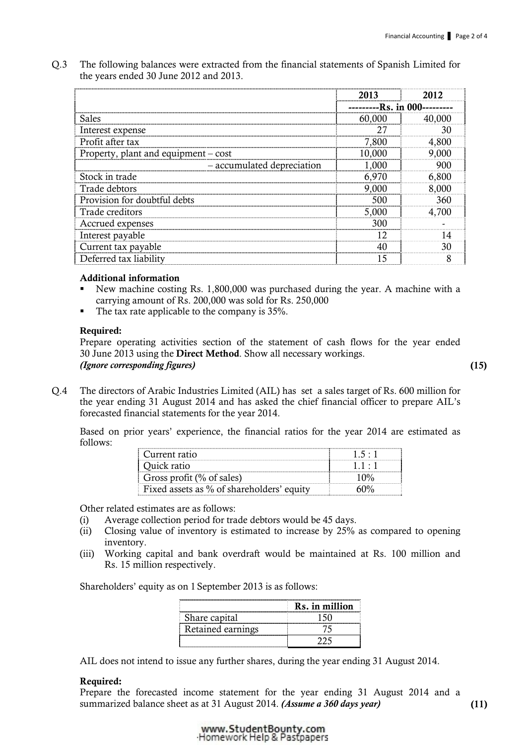Q.3 The following balances were extracted from the financial statements of Spanish Limited for the years ended 30 June 2012 and 2013.

|                                      | 2013         |        |
|--------------------------------------|--------------|--------|
|                                      | -Rs. in 000- |        |
| Sales                                | 60,000       | 40,000 |
| Interest expense                     | 27           | 30     |
| Profit after tax                     | 7,800        | 4,800  |
| Property, plant and equipment – cost | 10,000       | 9,000  |
| - accumulated depreciation           | 1,000        | 900    |
| Stock in trade                       | 6,970        | 6,800  |
| Trade debtors                        | 9,000        | 8,000  |
| Provision for doubtful debts         | 500          | 360    |
| Trade creditors                      | 5,000        | 4,700  |
| Accrued expenses                     | 300          |        |
| Interest payable                     | 12           |        |
| Current tax payable                  |              | 30     |
| Deferred tax liability               | 15           | Я      |

## Additional information

- New machine costing Rs. 1,800,000 was purchased during the year. A machine with a carrying amount of Rs. 200,000 was sold for Rs. 250,000
- The tax rate applicable to the company is 35%.

## **Required:**

Prepare operating activities section of the statement of cash flows for the year ended 30 June 2013 using the Direct Method. Show all necessary workings. (Ignore corresponding figures) (15)

Q.4 The directors of Arabic Industries Limited (AIL) has set a sales target of Rs. 600 million for the year ending 31 August 2014 and has asked the chief financial officer to prepare AIL's forecasted financial statements for the year 2014.

Based on prior years' experience, the financial ratios for the year 2014 are estimated as follows:

| Current ratio                             |  |
|-------------------------------------------|--|
| Ouick ratio                               |  |
| Gross profit $(\%$ of sales)              |  |
| Fixed assets as % of shareholders' equity |  |

Other related estimates are as follows:

- (i) Average collection period for trade debtors would be 45 days.
- (ii) Closing value of inventory is estimated to increase by 25% as compared to opening inventory.
- (iii) Working capital and bank overdraft would be maintained at Rs. 100 million and Rs. 15 million respectively.

Shareholders' equity as on 1 September 2013 is as follows:

|                   | Rs. in million |
|-------------------|----------------|
| Share capital     |                |
| Retained earnings |                |
|                   |                |

AIL does not intend to issue any further shares, during the year ending 31 August 2014.

# Required:

Prepare the forecasted income statement for the year ending 31 August 2014 and a summarized balance sheet as at 31 August 2014. (Assume a 360 days year) (11)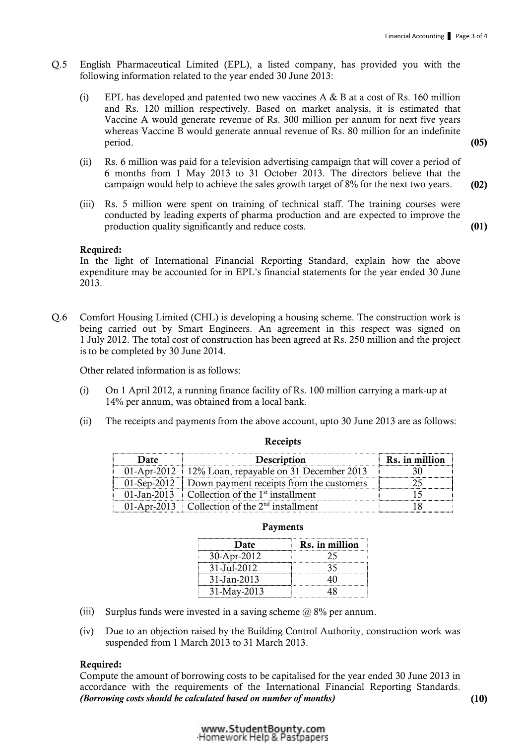- Q.5 English Pharmaceutical Limited (EPL), a listed company, has provided you with the following information related to the year ended 30 June 2013:
	- (i) EPL has developed and patented two new vaccines  $A \& B$  at a cost of Rs. 160 million and Rs. 120 million respectively. Based on market analysis, it is estimated that Vaccine A would generate revenue of Rs. 300 million per annum for next five years whereas Vaccine B would generate annual revenue of Rs. 80 million for an indefinite period. (05)
	- (ii) Rs. 6 million was paid for a television advertising campaign that will cover a period of 6 months from 1 May 2013 to 31 October 2013. The directors believe that the campaign would help to achieve the sales growth target of 8% for the next two years. (02)
	- (iii) Rs. 5 million were spent on training of technical staff. The training courses were conducted by leading experts of pharma production and are expected to improve the production quality significantly and reduce costs. (01)

#### Required:

In the light of International Financial Reporting Standard, explain how the above expenditure may be accounted for in EPL's financial statements for the year ended 30 June 2013.

Q.6 Comfort Housing Limited (CHL) is developing a housing scheme. The construction work is being carried out by Smart Engineers. An agreement in this respect was signed on 1 July 2012. The total cost of construction has been agreed at Rs. 250 million and the project is to be completed by 30 June 2014.

Other related information is as follows:

- (i) On 1 April 2012, a running finance facility of Rs. 100 million carrying a mark-up at 14% per annum, was obtained from a local bank.
- (ii) The receipts and payments from the above account, upto 30 June 2013 are as follows:

| Description                                           | Rs. in million |
|-------------------------------------------------------|----------------|
| 01-Apr-2012   12% Loan, repayable on 31 December 2013 |                |
| 01-Sep-2012 Down payment receipts from the customers  |                |
| 01-Jan-2013 Collection of the $1st$ installment       |                |
| 01-Apr-2013 Collection of the $2nd$ installment       |                |

#### Receipts

#### Payments

| Date        | Rs. in million |
|-------------|----------------|
| 30-Apr-2012 |                |
| 31-Jul-2012 |                |
| 31-Jan-2013 |                |
| 31-May-2013 |                |

- (iii) Surplus funds were invested in a saving scheme  $\omega$  8% per annum.
- (iv) Due to an objection raised by the Building Control Authority, construction work was suspended from 1 March 2013 to 31 March 2013.

#### Required:

Compute the amount of borrowing costs to be capitalised for the year ended 30 June 2013 in accordance with the requirements of the International Financial Reporting Standards. (Borrowing costs should be calculated based on number of months) (10)